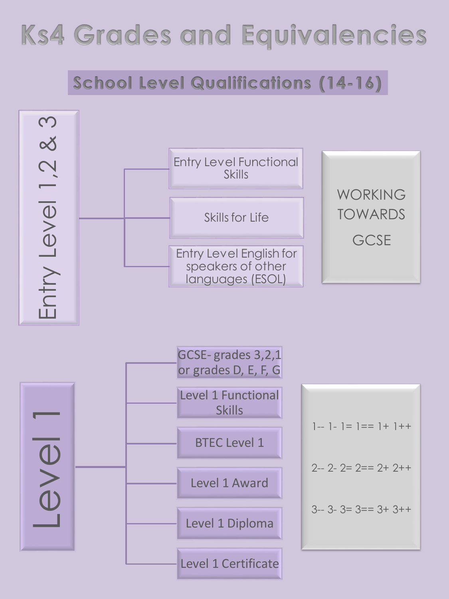## **Ks4 Grades and Equivalencies**

## **School Level Qualifications (14-16)**

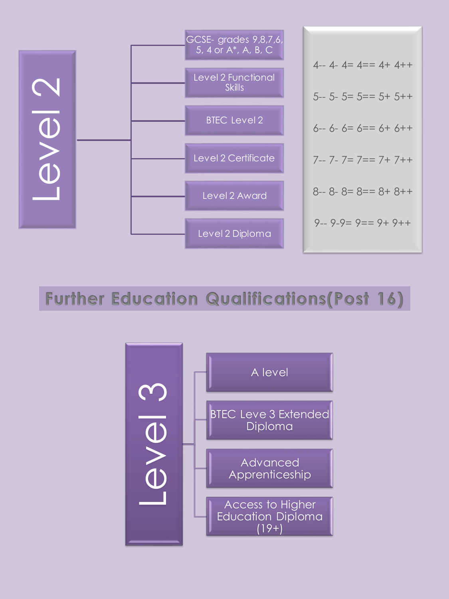

**Further Education Qualifications (Post 16)**